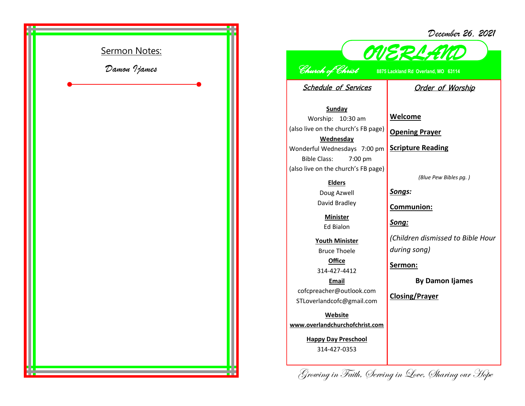

## *December 26, 2021*



## *Church of Christ* **8875 Lackland Rd Overland, MO 63114**

Schedule of Services

## Order of Worship

**Sunday** Worship: 10:30 am (also live on the church's FB page) **Wednesday** Wonderful Wednesdays 7:00 pm Bible Class: 7:00 pm (also live on the church's FB page)

**Elders**

Doug Azwell David Bradley

> **Minister** Ed Bialon

**Youth Minister** Bruce Thoele **Office**

314-427-4412

**Email** cofcpreacher@outlook.com STLoverlandcofc@gmail.com

**Website www.overlandchurchofchrist.com**

> **Happy Day Preschool** 314-427-0353

**Welcome**

**Opening Prayer**

**Scripture Reading**

*(Blue Pew Bibles pg. )*

*Songs:*

**Communion:**

*Song:*

*(Children dismissed to Bible Hour during song)*

**Sermon:** 

**By Damon Ijames**

**Closing/Prayer**

Growing in Faith, Serving in Love, Sharing our Hope